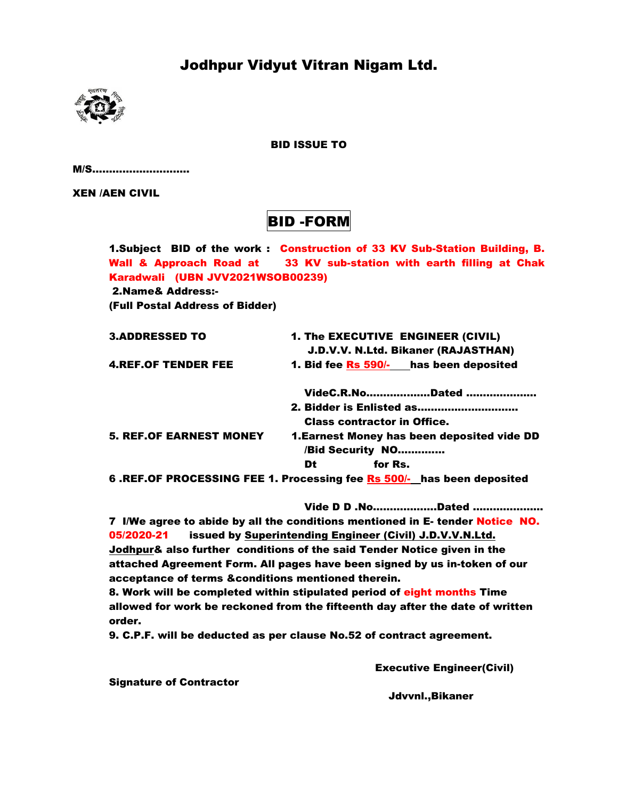# Jodhpur Vidyut Vitran Nigam Ltd.



BID ISSUE TO

M/S………………………..

XEN /AEN CIVIL

## BID -FORM

1.Subject BID of the work : Construction of 33 KV Sub-Station Building, B. Wall & Approach Road at 33 KV sub-station with earth filling at Chak Karadwali (UBN JVV2021WSOB00239)

2.Name& Address:-

(Full Postal Address of Bidder)

| <b>3.ADDRESSED TO</b>          | 1. The EXECUTIVE ENGINEER (CIVIL)                                     |
|--------------------------------|-----------------------------------------------------------------------|
|                                | J.D.V.V. N.Ltd. Bikaner (RAJASTHAN)                                   |
| <b>4.REF.OF TENDER FEE</b>     | 1. Bid fee Rs 590/- has been deposited                                |
|                                | VideC.R.NoDated                                                       |
|                                |                                                                       |
|                                | <b>Class contractor in Office.</b>                                    |
| <b>5. REF.OF EARNEST MONEY</b> | 1. Earnest Money has been deposited vide DD                           |
|                                | /Bid Security NO                                                      |
|                                | for Rs.<br>Dt                                                         |
|                                | 6.REF.OF PROCESSING FEE 1. Processing fee Rs 500/- has been deposited |

Vide D D .No……………….Dated …………………

7 I/We agree to abide by all the conditions mentioned in E- tender Notice NO. 05/2020-21 issued by Superintending Engineer (Civil) J.D.V.V.N.Ltd. Jodhpur& also further conditions of the said Tender Notice given in the attached Agreement Form. All pages have been signed by us in-token of our acceptance of terms &conditions mentioned therein.

8. Work will be completed within stipulated period of eight months Time allowed for work be reckoned from the fifteenth day after the date of written order.

9. C.P.F. will be deducted as per clause No.52 of contract agreement.

Executive Engineer(Civil)

Signature of Contractor

Jdvvnl.,Bikaner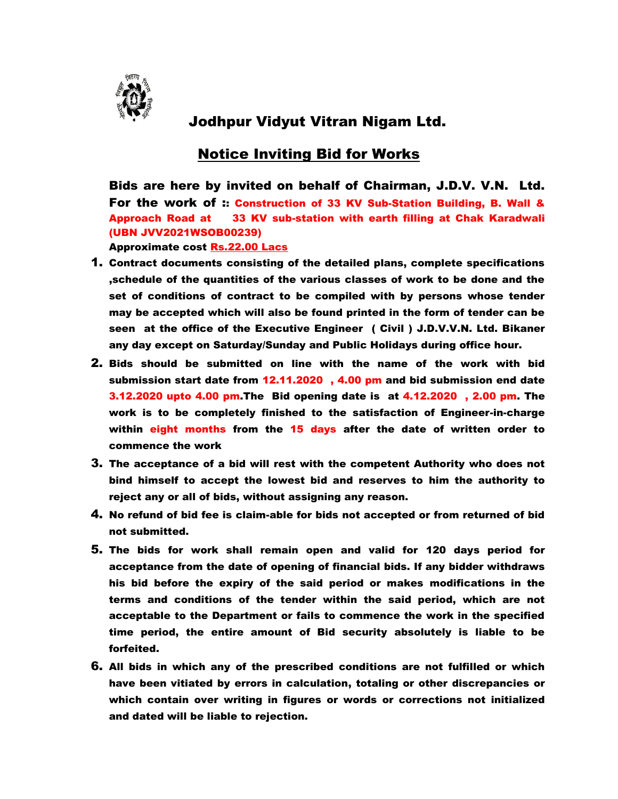

# Jodhpur Vidyut Vitran Nigam Ltd.

# Notice Inviting Bid for Works

Bids are here by invited on behalf of Chairman, J.D.V. V.N. Ltd. For the work of :: Construction of 33 KV Sub-Station Building, B. Wall & Approach Road at 33 KV sub-station with earth filling at Chak Karadwali (UBN JVV2021WSOB00239)

Approximate cost Rs.22.00 Lacs

- 1. Contract documents consisting of the detailed plans, complete specifications ,schedule of the quantities of the various classes of work to be done and the set of conditions of contract to be compiled with by persons whose tender may be accepted which will also be found printed in the form of tender can be seen at the office of the Executive Engineer ( Civil ) J.D.V.V.N. Ltd. Bikaner any day except on Saturday/Sunday and Public Holidays during office hour.
- 2. Bids should be submitted on line with the name of the work with bid submission start date from 12.11.2020 , 4.00 pm and bid submission end date 3.12.2020 upto 4.00 pm.The Bid opening date is at 4.12.2020 , 2.00 pm. The work is to be completely finished to the satisfaction of Engineer-in-charge within eight months from the 15 days after the date of written order to commence the work
- 3. The acceptance of a bid will rest with the competent Authority who does not bind himself to accept the lowest bid and reserves to him the authority to reject any or all of bids, without assigning any reason.
- 4. No refund of bid fee is claim-able for bids not accepted or from returned of bid not submitted.
- 5. The bids for work shall remain open and valid for 120 days period for acceptance from the date of opening of financial bids. If any bidder withdraws his bid before the expiry of the said period or makes modifications in the terms and conditions of the tender within the said period, which are not acceptable to the Department or fails to commence the work in the specified time period, the entire amount of Bid security absolutely is liable to be forfeited.
- 6. All bids in which any of the prescribed conditions are not fulfilled or which have been vitiated by errors in calculation, totaling or other discrepancies or which contain over writing in figures or words or corrections not initialized and dated will be liable to rejection.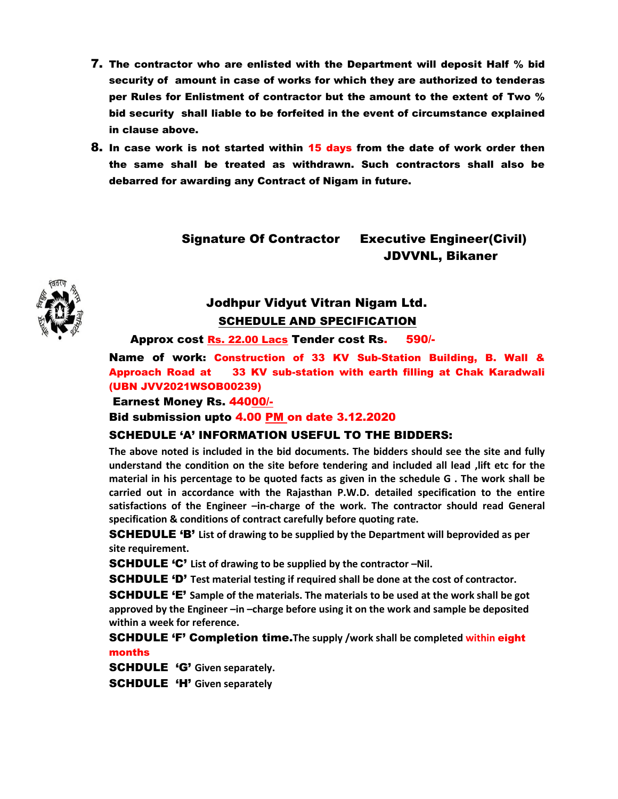- 7. The contractor who are enlisted with the Department will deposit Half % bid security of amount in case of works for which they are authorized to tenderas per Rules for Enlistment of contractor but the amount to the extent of Two % bid security shall liable to be forfeited in the event of circumstance explained in clause above.
- 8. In case work is not started within 15 days from the date of work order then the same shall be treated as withdrawn. Such contractors shall also be debarred for awarding any Contract of Nigam in future.

## Signature Of Contractor Executive Engineer(Civil) JDVVNL, Bikaner



## Jodhpur Vidyut Vitran Nigam Ltd. SCHEDULE AND SPECIFICATION

Approx cost Rs. 22.00 Lacs Tender cost Rs. 590/-

Name of work: Construction of 33 KV Sub-Station Building, B. Wall & Approach Road at 33 KV sub-station with earth filling at Chak Karadwali (UBN JVV2021WSOB00239)

Earnest Money Rs. 44000/-

Bid submission upto 4.00 PM on date 3.12.2020

### SCHEDULE 'A' INFORMATION USEFUL TO THE BIDDERS:

**The above noted is included in the bid documents. The bidders should see the site and fully understand the condition on the site before tendering and included all lead ,lift etc for the material in his percentage to be quoted facts as given in the schedule G . The work shall be carried out in accordance with the Rajasthan P.W.D. detailed specification to the entire satisfactions of the Engineer –in-charge of the work. The contractor should read General specification & conditions of contract carefully before quoting rate.** 

SCHEDULE 'B' **List of drawing to be supplied by the Department will beprovided as per site requirement.** 

SCHDULE 'C' **List of drawing to be supplied by the contractor –Nil.** 

SCHDULE 'D' **Test material testing if required shall be done at the cost of contractor.** 

SCHDULE 'E' **Sample of the materials. The materials to be used at the work shall be got approved by the Engineer –in –charge before using it on the work and sample be deposited within a week for reference.** 

SCHDULE 'F' Completion time.**The supply /work shall be completed within** eight months

SCHDULE 'G' **Given separately.** 

SCHDULE 'H' **Given separately**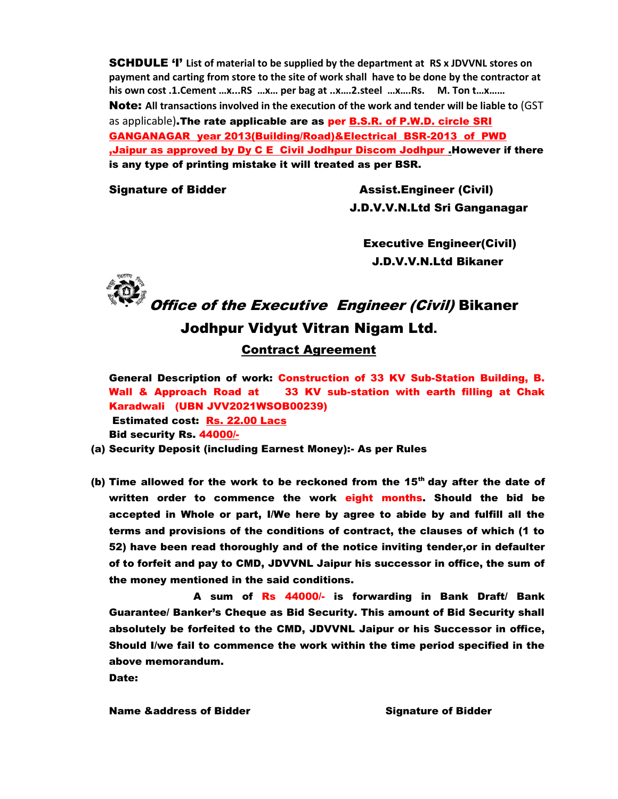SCHDULE 'I' **List of material to be supplied by the department at RS x JDVVNL stores on payment and carting from store to the site of work shall have to be done by the contractor at his own cost .1.Cement …x...RS …x… per bag at ..x….2.steel …x….Rs. M. Ton t…x……** Note: **All transactions involved in the execution of the work and tender will be liable to** (GST as applicable). The rate applicable are as per B.S.R. of P.W.D. circle SRI GANGANAGAR year 2013(Building/Road)&Electrical BSR-2013 of PWD ,Jaipur as approved by Dy C E Civil Jodhpur Discom Jodhpur .However if there is any type of printing mistake it will treated as per BSR.

Signature of Bidder **Assist.Engineer (Civil)** J.D.V.V.N.Ltd Sri Ganganagar

> Executive Engineer(Civil) J.D.V.V.N.Ltd Bikaner



 $\mathbb{C}$  office of the Executive Engineer (Civil) Bikaner

Jodhpur Vidyut Vitran Nigam Ltd.

Contract Agreement

General Description of work: Construction of 33 KV Sub-Station Building, B. Wall & Approach Road at 33 KV sub-station with earth filling at Chak Karadwali (UBN JVV2021WSOB00239) Estimated cost: Rs. 22.00 Lacs Bid security Rs. 44000/-

- (a) Security Deposit (including Earnest Money):- As per Rules
- (b) Time allowed for the work to be reckoned from the 15<sup>th</sup> day after the date of written order to commence the work eight months. Should the bid be accepted in Whole or part, I/We here by agree to abide by and fulfill all the terms and provisions of the conditions of contract, the clauses of which (1 to 52) have been read thoroughly and of the notice inviting tender,or in defaulter of to forfeit and pay to CMD, JDVVNL Jaipur his successor in office, the sum of the money mentioned in the said conditions.

 A sum of Rs 44000/- is forwarding in Bank Draft/ Bank Guarantee/ Banker's Cheque as Bid Security. This amount of Bid Security shall absolutely be forfeited to the CMD, JDVVNL Jaipur or his Successor in office, Should I/we fail to commence the work within the time period specified in the above memorandum.

Date:

Name &address of Bidder Same Signature of Bidder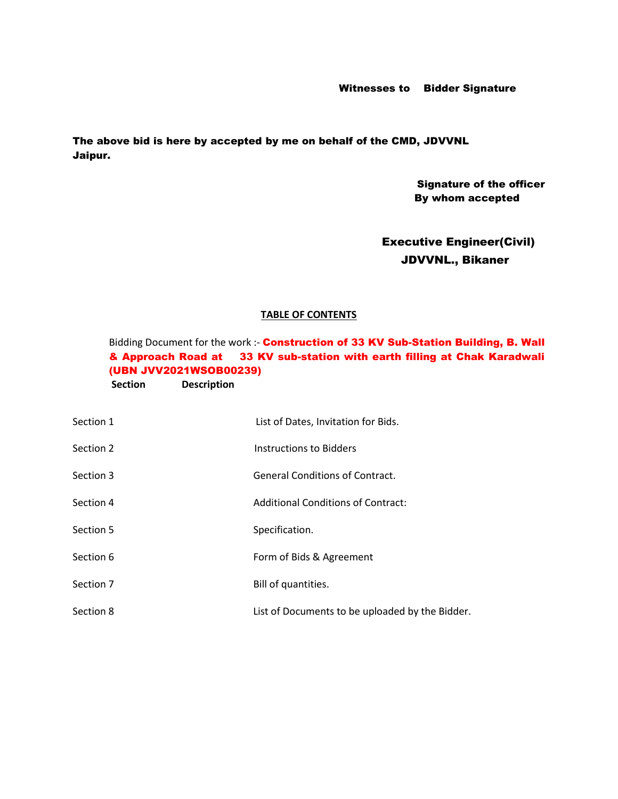Witnesses to Bidder Signature

The above bid is here by accepted by me on behalf of the CMD, JDVVNL Jaipur.

> Signature of the officer By whom accepted

## Executive Engineer(Civil) JDVVNL., Bikaner

### **TABLE OF CONTENTS**

Bidding Document for the work :- Construction of 33 KV Sub-Station Building, B. Wall & Approach Road at 33 KV sub-station with earth filling at Chak Karadwali (UBN JVV2021WSOB00239)

 **Section Description** 

| Section 1 | List of Dates, Invitation for Bids.             |
|-----------|-------------------------------------------------|
| Section 2 | Instructions to Bidders                         |
| Section 3 | <b>General Conditions of Contract.</b>          |
| Section 4 | <b>Additional Conditions of Contract:</b>       |
| Section 5 | Specification.                                  |
| Section 6 | Form of Bids & Agreement                        |
| Section 7 | Bill of quantities.                             |
| Section 8 | List of Documents to be uploaded by the Bidder. |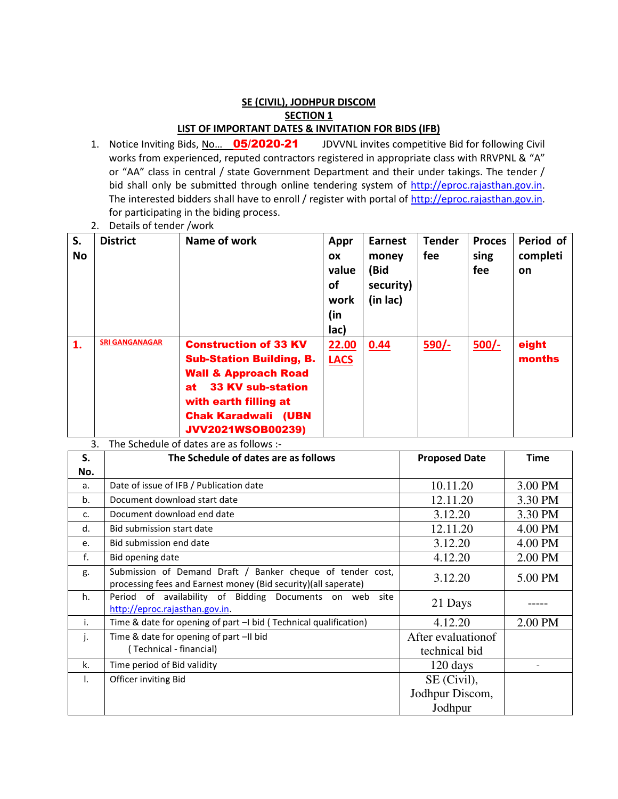### **SE (CIVIL), JODHPUR DISCOM SECTION 1 LIST OF IMPORTANT DATES & INVITATION FOR BIDS (IFB)**

- 1. Notice Inviting Bids, No... 05/2020-21 JDVVNL invites competitive Bid for following Civil works from experienced, reputed contractors registered in appropriate class with RRVPNL & "A" or "AA" class in central / state Government Department and their under takings. The tender / bid shall only be submitted through online tendering system of [http://eproc.rajasthan.gov.in.](http://eproc.rajasthan.gov.in/) The interested bidders shall have to enroll / register with portal of [http://eproc.rajasthan.gov.in.](http://eproc.rajasthan.gov.in/) for participating in the biding process.
- 2. Details of tender /work

| S.<br><b>No</b> | <b>District</b>       | Name of work                                                                                                                                                                                                               | Appr<br>OX<br>value<br>οf<br>work<br>(in<br>lac) | <b>Earnest</b><br>money<br>(Bid<br>security)<br>(in lac) | <b>Tender</b><br>fee | <b>Proces</b><br>sing<br>fee | Period of<br>completi<br>on |
|-----------------|-----------------------|----------------------------------------------------------------------------------------------------------------------------------------------------------------------------------------------------------------------------|--------------------------------------------------|----------------------------------------------------------|----------------------|------------------------------|-----------------------------|
| 1.              | <b>SRI GANGANAGAR</b> | <b>Construction of 33 KV</b><br><b>Sub-Station Building, B.</b><br><b>Wall &amp; Approach Road</b><br><b>33 KV sub-station</b><br>at<br>with earth filling at<br><b>Chak Karadwali</b><br>(UBN<br><b>JVV2021WSOB00239)</b> | 22.00<br><b>LACS</b>                             | 0.44                                                     | $590/-$              | $500/-$                      | eight<br>months             |

3. The Schedule of dates are as follows :-

| S.             | The Schedule of dates are as follows                                                                                         | <b>Proposed Date</b> | <b>Time</b> |
|----------------|------------------------------------------------------------------------------------------------------------------------------|----------------------|-------------|
| No.            |                                                                                                                              |                      |             |
| a.             | Date of issue of IFB / Publication date                                                                                      | 10.11.20             | 3.00 PM     |
| b.             | Document download start date                                                                                                 | 12.11.20             | 3.30 PM     |
| $\mathsf{C}$ . | Document download end date                                                                                                   | 3.12.20              | 3.30 PM     |
| d.             | Bid submission start date                                                                                                    | 12.11.20             | 4.00 PM     |
| e.             | Bid submission end date                                                                                                      | 3.12.20              | 4.00 PM     |
| f.             | Bid opening date                                                                                                             | 4.12.20              | 2.00 PM     |
| g.             | Submission of Demand Draft / Banker cheque of tender cost,<br>processing fees and Earnest money (Bid security)(all saperate) | 3.12.20              | 5.00 PM     |
| h.             | Period of availability of Bidding Documents on web site<br>http://eproc.rajasthan.gov.in.                                    | 21 Days              |             |
| i.             | Time & date for opening of part -I bid (Technical qualification)                                                             | 4.12.20              | 2.00 PM     |
| j.             | Time & date for opening of part -II bid                                                                                      | After evaluation of  |             |
|                | (Technical - financial)                                                                                                      | technical bid        |             |
| k.             | Time period of Bid validity                                                                                                  | $120$ days           |             |
| ъ.             | Officer inviting Bid                                                                                                         | SE (Civil),          |             |
|                |                                                                                                                              | Jodhpur Discom,      |             |
|                |                                                                                                                              | Jodhpur              |             |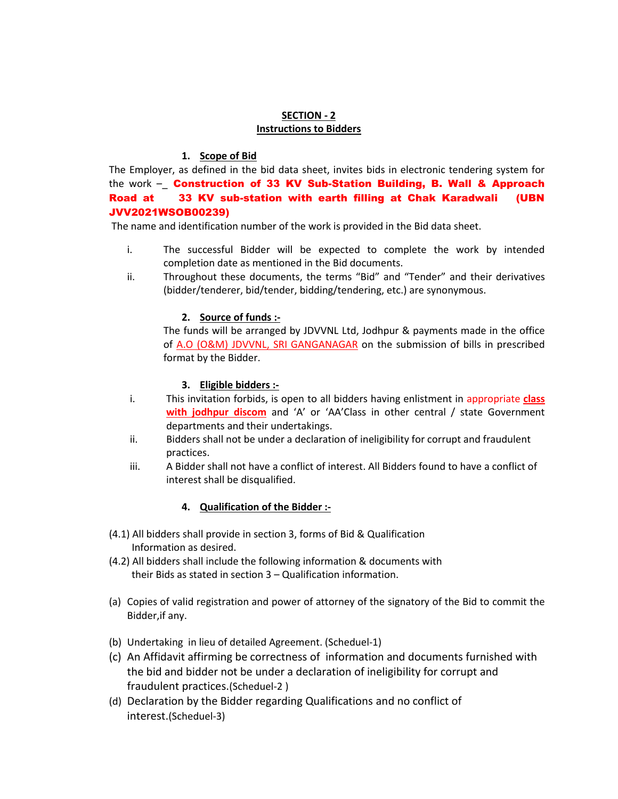### **SECTION - 2 Instructions to Bidders**

### **1. Scope of Bid**

The Employer, as defined in the bid data sheet, invites bids in electronic tendering system for the work - **Construction of 33 KV Sub-Station Building, B. Wall & Approach** Road at 33 KV sub-station with earth filling at Chak Karadwali (UBN JVV2021WSOB00239)

The name and identification number of the work is provided in the Bid data sheet.

- i. The successful Bidder will be expected to complete the work by intended completion date as mentioned in the Bid documents.
- ii. Throughout these documents, the terms "Bid" and "Tender" and their derivatives (bidder/tenderer, bid/tender, bidding/tendering, etc.) are synonymous.

### **2. Source of funds :-**

The funds will be arranged by JDVVNL Ltd, Jodhpur & payments made in the office of A.O (O&M) JDVVNL, SRI GANGANAGAR on the submission of bills in prescribed format by the Bidder.

### **3. Eligible bidders :-**

- i. This invitation forbids, is open to all bidders having enlistment in appropriate **class with jodhpur discom** and 'A' or 'AA'Class in other central / state Government departments and their undertakings.
- ii. Bidders shall not be under a declaration of ineligibility for corrupt and fraudulent practices.
- iii. A Bidder shall not have a conflict of interest. All Bidders found to have a conflict of interest shall be disqualified.

### **4. Qualification of the Bidder :-**

- (4.1) All bidders shall provide in section 3, forms of Bid & Qualification Information as desired.
- (4.2) All bidders shall include the following information & documents with their Bids as stated in section 3 – Qualification information.
- (a) Copies of valid registration and power of attorney of the signatory of the Bid to commit the Bidder,if any.
- (b) Undertaking in lieu of detailed Agreement. (Scheduel-1)
- (c) An Affidavit affirming be correctness of information and documents furnished with the bid and bidder not be under a declaration of ineligibility for corrupt and fraudulent practices.(Scheduel-2 )
- (d) Declaration by the Bidder regarding Qualifications and no conflict of interest.(Scheduel-3)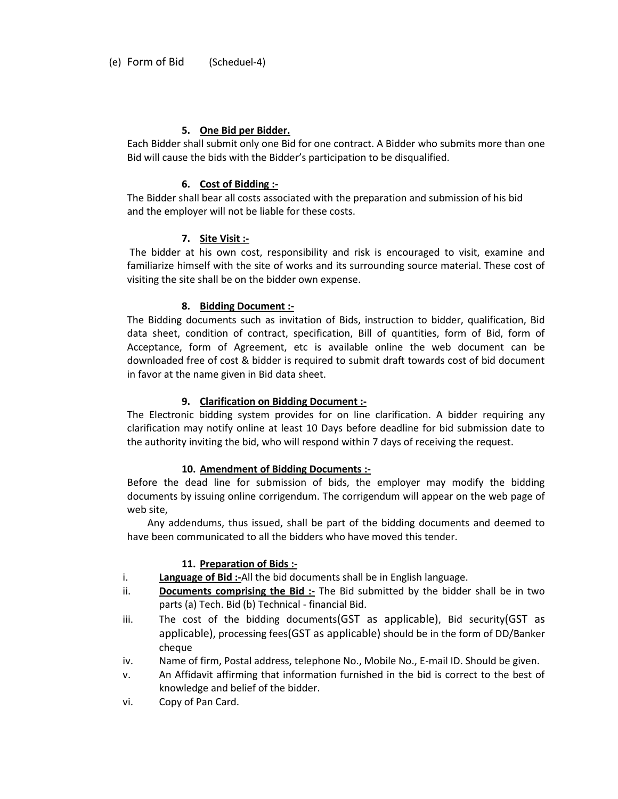### **5. One Bid per Bidder.**

Each Bidder shall submit only one Bid for one contract. A Bidder who submits more than one Bid will cause the bids with the Bidder's participation to be disqualified.

#### **6. Cost of Bidding :-**

The Bidder shall bear all costs associated with the preparation and submission of his bid and the employer will not be liable for these costs.

### **7. Site Visit :-**

 The bidder at his own cost, responsibility and risk is encouraged to visit, examine and familiarize himself with the site of works and its surrounding source material. These cost of visiting the site shall be on the bidder own expense.

### **8. Bidding Document :-**

The Bidding documents such as invitation of Bids, instruction to bidder, qualification, Bid data sheet, condition of contract, specification, Bill of quantities, form of Bid, form of Acceptance, form of Agreement, etc is available online the web document can be downloaded free of cost & bidder is required to submit draft towards cost of bid document in favor at the name given in Bid data sheet.

### **9. Clarification on Bidding Document :-**

The Electronic bidding system provides for on line clarification. A bidder requiring any clarification may notify online at least 10 Days before deadline for bid submission date to the authority inviting the bid, who will respond within 7 days of receiving the request.

#### **10. Amendment of Bidding Documents :-**

Before the dead line for submission of bids, the employer may modify the bidding documents by issuing online corrigendum. The corrigendum will appear on the web page of web site,

 Any addendums, thus issued, shall be part of the bidding documents and deemed to have been communicated to all the bidders who have moved this tender.

### **11. Preparation of Bids :-**

- i. **Language of Bid :-**All the bid documents shall be in English language.
- ii. **Documents comprising the Bid :-** The Bid submitted by the bidder shall be in two parts (a) Tech. Bid (b) Technical - financial Bid.
- iii. The cost of the bidding documents(GST as applicable), Bid security(GST as applicable), processing fees(GST as applicable) should be in the form of DD/Banker cheque
- iv. Name of firm, Postal address, telephone No., Mobile No., E-mail ID. Should be given.
- v. An Affidavit affirming that information furnished in the bid is correct to the best of knowledge and belief of the bidder.
- vi. Copy of Pan Card.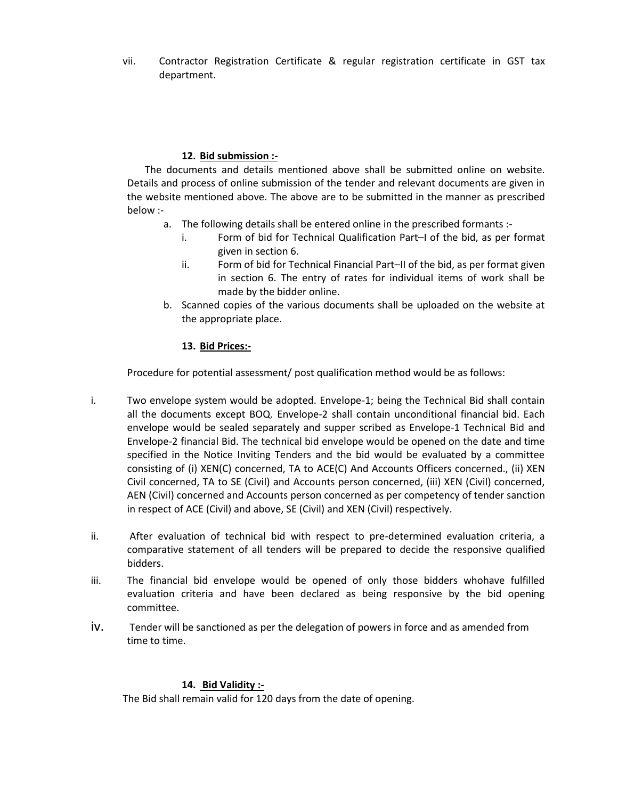vii. Contractor Registration Certificate & regular registration certificate in GST tax department.

### **12. Bid submission :-**

 The documents and details mentioned above shall be submitted online on website. Details and process of online submission of the tender and relevant documents are given in the website mentioned above. The above are to be submitted in the manner as prescribed below :-

- a. The following details shall be entered online in the prescribed formants :
	- i. Form of bid for Technical Qualification Part–I of the bid, as per format given in section 6.
	- ii. Form of bid for Technical Financial Part–II of the bid, as per format given in section 6. The entry of rates for individual items of work shall be made by the bidder online.
- b. Scanned copies of the various documents shall be uploaded on the website at the appropriate place.

### **13. Bid Prices:-**

Procedure for potential assessment/ post qualification method would be as follows:

- i. Two envelope system would be adopted. Envelope-1; being the Technical Bid shall contain all the documents except BOQ. Envelope-2 shall contain unconditional financial bid. Each envelope would be sealed separately and supper scribed as Envelope-1 Technical Bid and Envelope-2 financial Bid. The technical bid envelope would be opened on the date and time specified in the Notice Inviting Tenders and the bid would be evaluated by a committee consisting of (i) XEN(C) concerned, TA to ACE(C) And Accounts Officers concerned., (ii) XEN Civil concerned, TA to SE (Civil) and Accounts person concerned, (iii) XEN (Civil) concerned, AEN (Civil) concerned and Accounts person concerned as per competency of tender sanction in respect of ACE (Civil) and above, SE (Civil) and XEN (Civil) respectively.
- ii. After evaluation of technical bid with respect to pre-determined evaluation criteria, a comparative statement of all tenders will be prepared to decide the responsive qualified bidders.
- iii. The financial bid envelope would be opened of only those bidders whohave fulfilled evaluation criteria and have been declared as being responsive by the bid opening committee.
- iv. Tender will be sanctioned as per the delegation of powers in force and as amended from time to time.

### **14. Bid Validity :-**

The Bid shall remain valid for 120 days from the date of opening.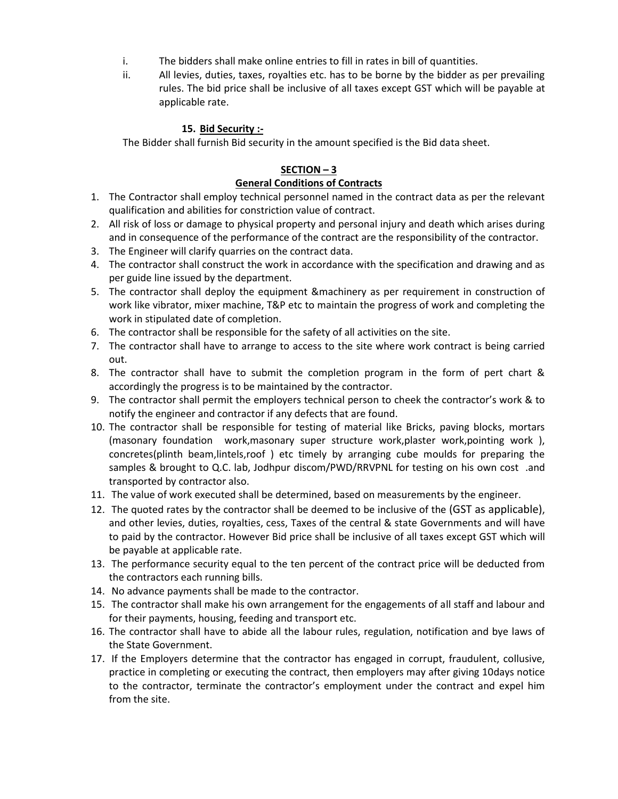- i. The bidders shall make online entries to fill in rates in bill of quantities.
- ii. All levies, duties, taxes, royalties etc. has to be borne by the bidder as per prevailing rules. The bid price shall be inclusive of all taxes except GST which will be payable at applicable rate.

### **15. Bid Security :-**

The Bidder shall furnish Bid security in the amount specified is the Bid data sheet.

### **SECTION – 3**

### **General Conditions of Contracts**

- 1. The Contractor shall employ technical personnel named in the contract data as per the relevant qualification and abilities for constriction value of contract.
- 2. All risk of loss or damage to physical property and personal injury and death which arises during and in consequence of the performance of the contract are the responsibility of the contractor.
- 3. The Engineer will clarify quarries on the contract data.
- 4. The contractor shall construct the work in accordance with the specification and drawing and as per guide line issued by the department.
- 5. The contractor shall deploy the equipment &machinery as per requirement in construction of work like vibrator, mixer machine, T&P etc to maintain the progress of work and completing the work in stipulated date of completion.
- 6. The contractor shall be responsible for the safety of all activities on the site.
- 7. The contractor shall have to arrange to access to the site where work contract is being carried out.
- 8. The contractor shall have to submit the completion program in the form of pert chart & accordingly the progress is to be maintained by the contractor.
- 9. The contractor shall permit the employers technical person to cheek the contractor's work & to notify the engineer and contractor if any defects that are found.
- 10. The contractor shall be responsible for testing of material like Bricks, paving blocks, mortars (masonary foundation work,masonary super structure work,plaster work,pointing work ), concretes(plinth beam,lintels,roof ) etc timely by arranging cube moulds for preparing the samples & brought to Q.C. lab, Jodhpur discom/PWD/RRVPNL for testing on his own cost .and transported by contractor also.
- 11. The value of work executed shall be determined, based on measurements by the engineer.
- 12. The quoted rates by the contractor shall be deemed to be inclusive of the (GST as applicable), and other levies, duties, royalties, cess, Taxes of the central & state Governments and will have to paid by the contractor. However Bid price shall be inclusive of all taxes except GST which will be payable at applicable rate.
- 13. The performance security equal to the ten percent of the contract price will be deducted from the contractors each running bills.
- 14. No advance payments shall be made to the contractor.
- 15. The contractor shall make his own arrangement for the engagements of all staff and labour and for their payments, housing, feeding and transport etc.
- 16. The contractor shall have to abide all the labour rules, regulation, notification and bye laws of the State Government.
- 17. If the Employers determine that the contractor has engaged in corrupt, fraudulent, collusive, practice in completing or executing the contract, then employers may after giving 10days notice to the contractor, terminate the contractor's employment under the contract and expel him from the site.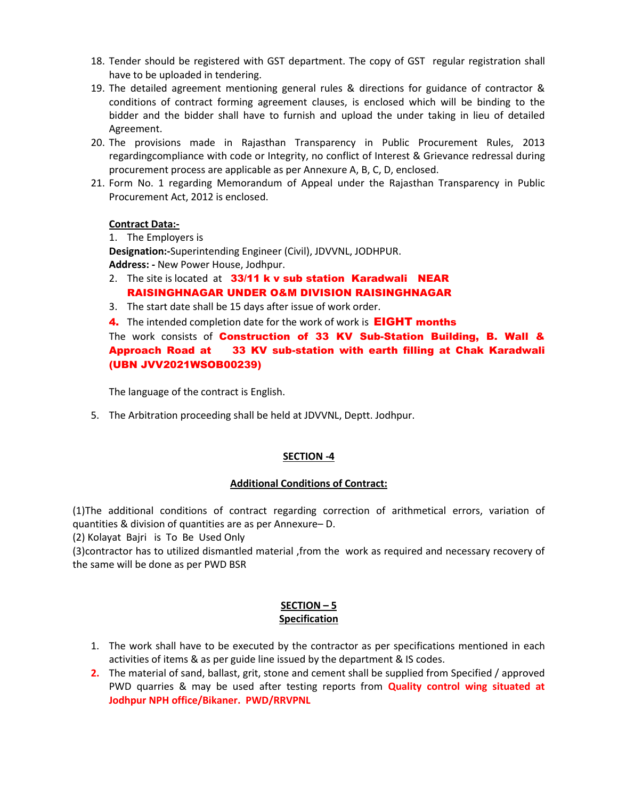- 18. Tender should be registered with GST department. The copy of GST regular registration shall have to be uploaded in tendering.
- 19. The detailed agreement mentioning general rules & directions for guidance of contractor & conditions of contract forming agreement clauses, is enclosed which will be binding to the bidder and the bidder shall have to furnish and upload the under taking in lieu of detailed Agreement.
- 20. The provisions made in Rajasthan Transparency in Public Procurement Rules, 2013 regardingcompliance with code or Integrity, no conflict of Interest & Grievance redressal during procurement process are applicable as per Annexure A, B, C, D, enclosed.
- 21. Form No. 1 regarding Memorandum of Appeal under the Rajasthan Transparency in Public Procurement Act, 2012 is enclosed.

### **Contract Data:-**

1. The Employers is

**Designation:-**Superintending Engineer (Civil), JDVVNL, JODHPUR. **Address: -** New Power House, Jodhpur.

- 2. The site is located at 33/11 k v sub station Karadwali NEAR RAISINGHNAGAR UNDER O&M DIVISION RAISINGHNAGAR
- 3. The start date shall be 15 days after issue of work order.
- 4. The intended completion date for the work of work is **EIGHT months**

The work consists of **Construction of 33 KV Sub-Station Building, B. Wall &** Approach Road at 33 KV sub-station with earth filling at Chak Karadwali (UBN JVV2021WSOB00239)

The language of the contract is English.

5. The Arbitration proceeding shall be held at JDVVNL, Deptt. Jodhpur.

### **SECTION -4**

### **Additional Conditions of Contract:**

(1)The additional conditions of contract regarding correction of arithmetical errors, variation of quantities & division of quantities are as per Annexure– D.

(2) Kolayat Bajri is To Be Used Only

(3)contractor has to utilized dismantled material ,from the work as required and necessary recovery of the same will be done as per PWD BSR

### **SECTION – 5 Specification**

- 1. The work shall have to be executed by the contractor as per specifications mentioned in each activities of items & as per guide line issued by the department & IS codes.
- **2.** The material of sand, ballast, grit, stone and cement shall be supplied from Specified / approved PWD quarries & may be used after testing reports from **Quality control wing situated at Jodhpur NPH office/Bikaner. PWD/RRVPNL**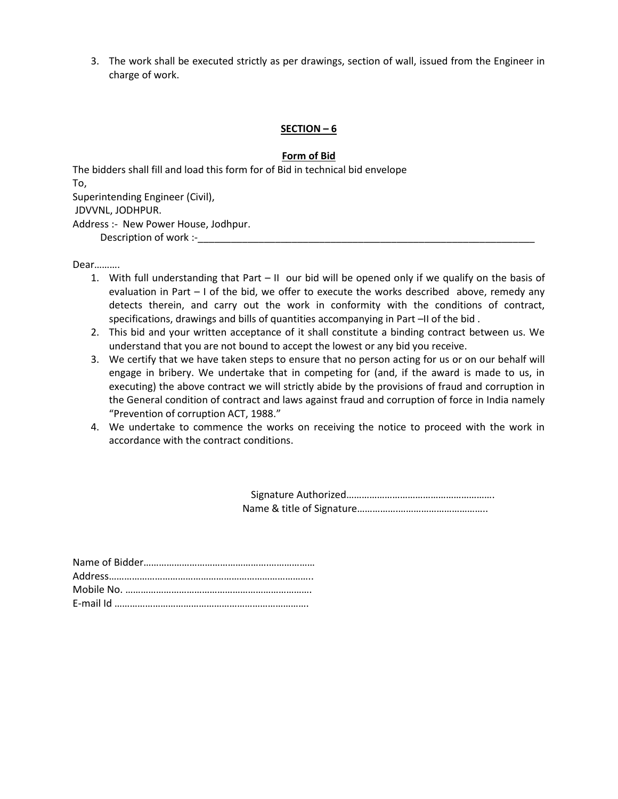3. The work shall be executed strictly as per drawings, section of wall, issued from the Engineer in charge of work.

### **SECTION – 6**

### **Form of Bid**

The bidders shall fill and load this form for of Bid in technical bid envelope To, Superintending Engineer (Civil), JDVVNL, JODHPUR. Address :- New Power House, Jodhpur. Description of work :-\_\_\_\_\_\_\_\_\_\_\_\_\_\_\_\_\_\_\_\_\_\_\_\_\_\_\_\_\_\_\_\_\_\_\_\_\_\_\_\_\_\_\_\_\_\_\_\_\_\_\_\_\_\_\_\_\_\_\_\_\_

Dear……….

- 1. With full understanding that Part II our bid will be opened only if we qualify on the basis of evaluation in Part – I of the bid, we offer to execute the works described above, remedy any detects therein, and carry out the work in conformity with the conditions of contract, specifications, drawings and bills of quantities accompanying in Part –II of the bid .
- 2. This bid and your written acceptance of it shall constitute a binding contract between us. We understand that you are not bound to accept the lowest or any bid you receive.
- 3. We certify that we have taken steps to ensure that no person acting for us or on our behalf will engage in bribery. We undertake that in competing for (and, if the award is made to us, in executing) the above contract we will strictly abide by the provisions of fraud and corruption in the General condition of contract and laws against fraud and corruption of force in India namely "Prevention of corruption ACT, 1988."
- 4. We undertake to commence the works on receiving the notice to proceed with the work in accordance with the contract conditions.

 Signature Authorized…………………………………………………. Name & title of Signature…………….……………………………..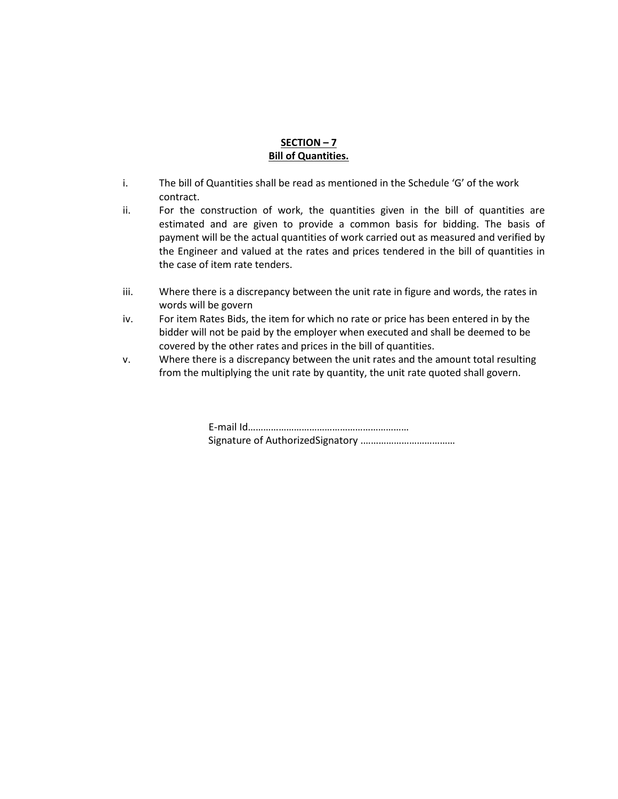### **SECTION – 7 Bill of Quantities.**

- i. The bill of Quantities shall be read as mentioned in the Schedule 'G' of the work contract.
- ii. For the construction of work, the quantities given in the bill of quantities are estimated and are given to provide a common basis for bidding. The basis of payment will be the actual quantities of work carried out as measured and verified by the Engineer and valued at the rates and prices tendered in the bill of quantities in the case of item rate tenders.
- iii. Where there is a discrepancy between the unit rate in figure and words, the rates in words will be govern
- iv. For item Rates Bids, the item for which no rate or price has been entered in by the bidder will not be paid by the employer when executed and shall be deemed to be covered by the other rates and prices in the bill of quantities.
- v. Where there is a discrepancy between the unit rates and the amount total resulting from the multiplying the unit rate by quantity, the unit rate quoted shall govern.

E-mail Id……………………………………………………… Signature of AuthorizedSignatory .………………………………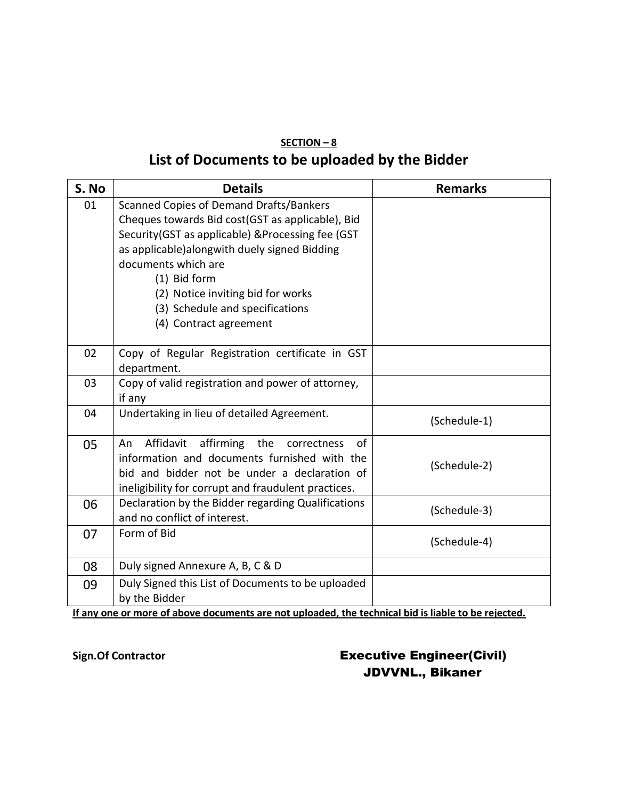# **SECTION – 8 List of Documents to be uploaded by the Bidder**

| S. No | <b>Details</b>                                                                                                                                                                                                                                                                                                                                   | <b>Remarks</b> |
|-------|--------------------------------------------------------------------------------------------------------------------------------------------------------------------------------------------------------------------------------------------------------------------------------------------------------------------------------------------------|----------------|
| 01    | <b>Scanned Copies of Demand Drafts/Bankers</b><br>Cheques towards Bid cost(GST as applicable), Bid<br>Security(GST as applicable) &Processing fee (GST<br>as applicable) alongwith duely signed Bidding<br>documents which are<br>(1) Bid form<br>(2) Notice inviting bid for works<br>(3) Schedule and specifications<br>(4) Contract agreement |                |
| 02    | Copy of Regular Registration certificate in GST<br>department.                                                                                                                                                                                                                                                                                   |                |
| 03    | Copy of valid registration and power of attorney,<br>if any                                                                                                                                                                                                                                                                                      |                |
| 04    | Undertaking in lieu of detailed Agreement.                                                                                                                                                                                                                                                                                                       | (Schedule-1)   |
| 05    | affirming<br>Affidavit<br>the<br>οf<br>An<br>correctness<br>information and documents furnished with the<br>bid and bidder not be under a declaration of<br>ineligibility for corrupt and fraudulent practices.                                                                                                                                  | (Schedule-2)   |
| 06    | Declaration by the Bidder regarding Qualifications<br>and no conflict of interest.                                                                                                                                                                                                                                                               | (Schedule-3)   |
| 07    | Form of Bid                                                                                                                                                                                                                                                                                                                                      | (Schedule-4)   |
| 08    | Duly signed Annexure A, B, C & D                                                                                                                                                                                                                                                                                                                 |                |
| 09    | Duly Signed this List of Documents to be uploaded<br>by the Bidder                                                                                                                                                                                                                                                                               |                |

**If any one or more of above documents are not uploaded, the technical bid is liable to be rejected.** 

**Sign.Of Contractor** Executive Engineer(Civil) JDVVNL., Bikaner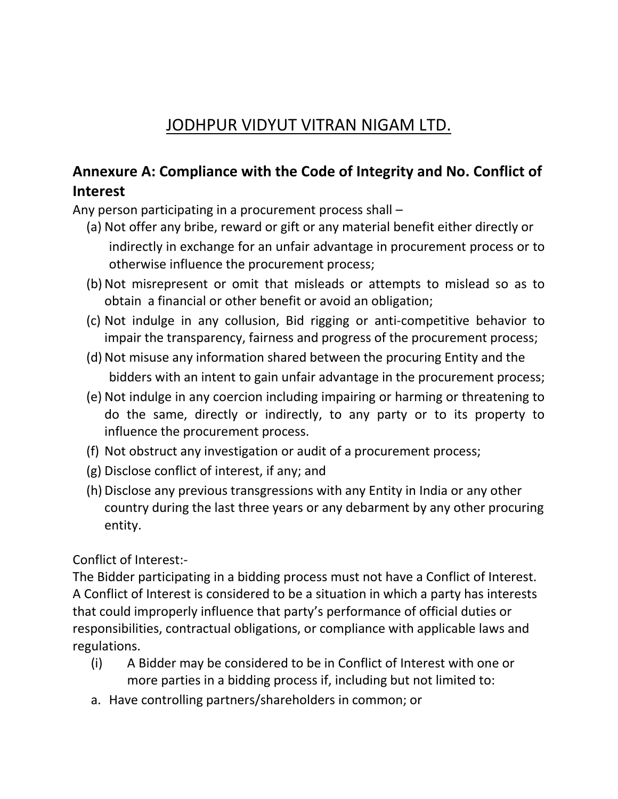# JODHPUR VIDYUT VITRAN NIGAM LTD.

# **Annexure A: Compliance with the Code of Integrity and No. Conflict of Interest**

Any person participating in a procurement process shall –

- (a) Not offer any bribe, reward or gift or any material benefit either directly or indirectly in exchange for an unfair advantage in procurement process or to otherwise influence the procurement process;
- (b) Not misrepresent or omit that misleads or attempts to mislead so as to obtain a financial or other benefit or avoid an obligation;
- (c) Not indulge in any collusion, Bid rigging or anti-competitive behavior to impair the transparency, fairness and progress of the procurement process;
- (d) Not misuse any information shared between the procuring Entity and the bidders with an intent to gain unfair advantage in the procurement process;
- (e) Not indulge in any coercion including impairing or harming or threatening to do the same, directly or indirectly, to any party or to its property to influence the procurement process.
- (f) Not obstruct any investigation or audit of a procurement process;
- (g) Disclose conflict of interest, if any; and
- (h) Disclose any previous transgressions with any Entity in India or any other country during the last three years or any debarment by any other procuring entity.

Conflict of Interest:-

The Bidder participating in a bidding process must not have a Conflict of Interest. A Conflict of Interest is considered to be a situation in which a party has interests that could improperly influence that party's performance of official duties or responsibilities, contractual obligations, or compliance with applicable laws and regulations.

- (i) A Bidder may be considered to be in Conflict of Interest with one or more parties in a bidding process if, including but not limited to:
- a. Have controlling partners/shareholders in common; or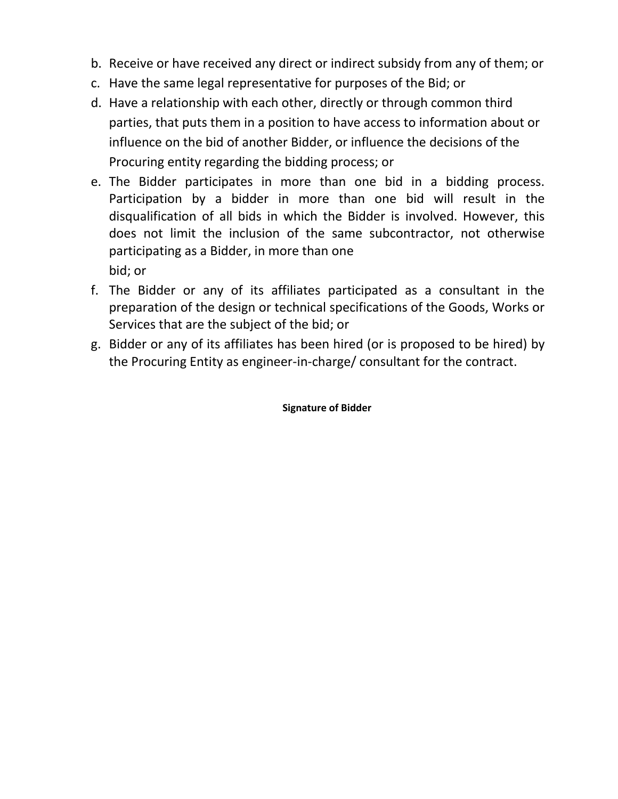- b. Receive or have received any direct or indirect subsidy from any of them; or
- c. Have the same legal representative for purposes of the Bid; or
- d. Have a relationship with each other, directly or through common third parties, that puts them in a position to have access to information about or influence on the bid of another Bidder, or influence the decisions of the Procuring entity regarding the bidding process; or
- e. The Bidder participates in more than one bid in a bidding process. Participation by a bidder in more than one bid will result in the disqualification of all bids in which the Bidder is involved. However, this does not limit the inclusion of the same subcontractor, not otherwise participating as a Bidder, in more than one bid; or
- f. The Bidder or any of its affiliates participated as a consultant in the preparation of the design or technical specifications of the Goods, Works or Services that are the subject of the bid; or
- g. Bidder or any of its affiliates has been hired (or is proposed to be hired) by the Procuring Entity as engineer-in-charge/ consultant for the contract.

### **Signature of Bidder**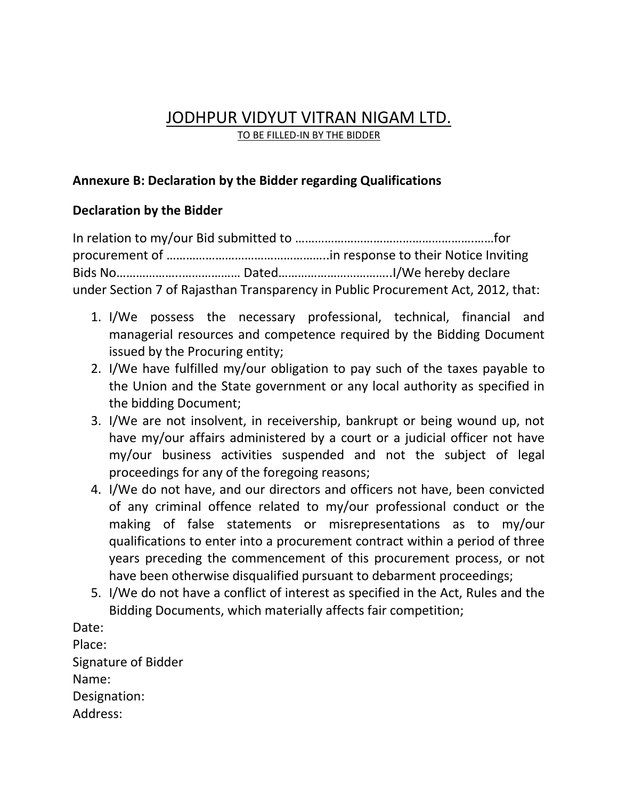## JODHPUR VIDYUT VITRAN NIGAM LTD. TO BE FILLED-IN BY THE BIDDER

## **Annexure B: Declaration by the Bidder regarding Qualifications**

## **Declaration by the Bidder**

| under Section 7 of Rajasthan Transparency in Public Procurement Act, 2012, that: |  |
|----------------------------------------------------------------------------------|--|

- 1. I/We possess the necessary professional, technical, financial and managerial resources and competence required by the Bidding Document issued by the Procuring entity;
- 2. I/We have fulfilled my/our obligation to pay such of the taxes payable to the Union and the State government or any local authority as specified in the bidding Document;
- 3. I/We are not insolvent, in receivership, bankrupt or being wound up, not have my/our affairs administered by a court or a judicial officer not have my/our business activities suspended and not the subject of legal proceedings for any of the foregoing reasons;
- 4. I/We do not have, and our directors and officers not have, been convicted of any criminal offence related to my/our professional conduct or the making of false statements or misrepresentations as to my/our qualifications to enter into a procurement contract within a period of three years preceding the commencement of this procurement process, or not have been otherwise disqualified pursuant to debarment proceedings;
- 5. I/We do not have a conflict of interest as specified in the Act, Rules and the Bidding Documents, which materially affects fair competition;

Date: Place: Signature of Bidder Name: Designation: Address: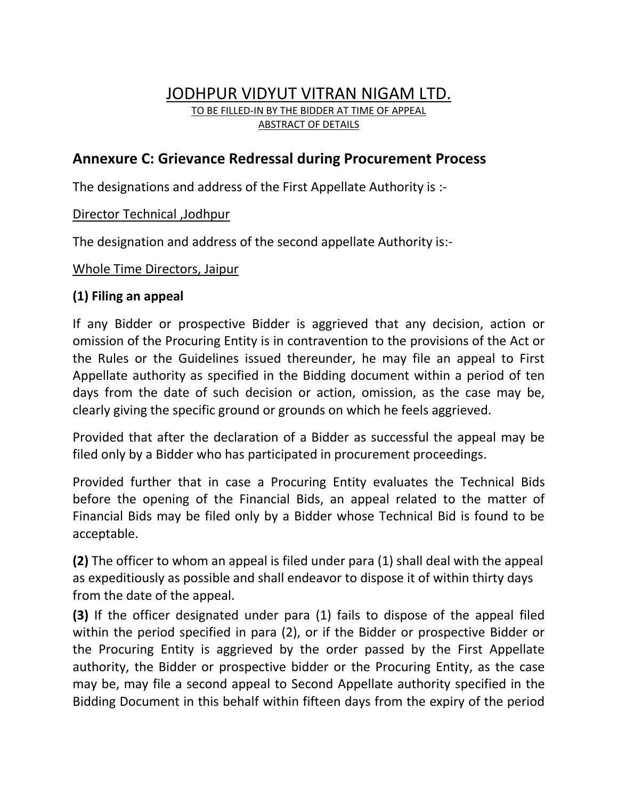# JODHPUR VIDYUT VITRAN NIGAM LTD. TO BE FILLED-IN BY THE BIDDER AT TIME OF APPEAL

ABSTRACT OF DETAILS

# **Annexure C: Grievance Redressal during Procurement Process**

The designations and address of the First Appellate Authority is :-

## Director Technical ,Jodhpur

The designation and address of the second appellate Authority is:-

## Whole Time Directors, Jaipur

## **(1) Filing an appeal**

If any Bidder or prospective Bidder is aggrieved that any decision, action or omission of the Procuring Entity is in contravention to the provisions of the Act or the Rules or the Guidelines issued thereunder, he may file an appeal to First Appellate authority as specified in the Bidding document within a period of ten days from the date of such decision or action, omission, as the case may be, clearly giving the specific ground or grounds on which he feels aggrieved.

Provided that after the declaration of a Bidder as successful the appeal may be filed only by a Bidder who has participated in procurement proceedings.

Provided further that in case a Procuring Entity evaluates the Technical Bids before the opening of the Financial Bids, an appeal related to the matter of Financial Bids may be filed only by a Bidder whose Technical Bid is found to be acceptable.

**(2)** The officer to whom an appeal is filed under para (1) shall deal with the appeal as expeditiously as possible and shall endeavor to dispose it of within thirty days from the date of the appeal.

**(3)** If the officer designated under para (1) fails to dispose of the appeal filed within the period specified in para (2), or if the Bidder or prospective Bidder or the Procuring Entity is aggrieved by the order passed by the First Appellate authority, the Bidder or prospective bidder or the Procuring Entity, as the case may be, may file a second appeal to Second Appellate authority specified in the Bidding Document in this behalf within fifteen days from the expiry of the period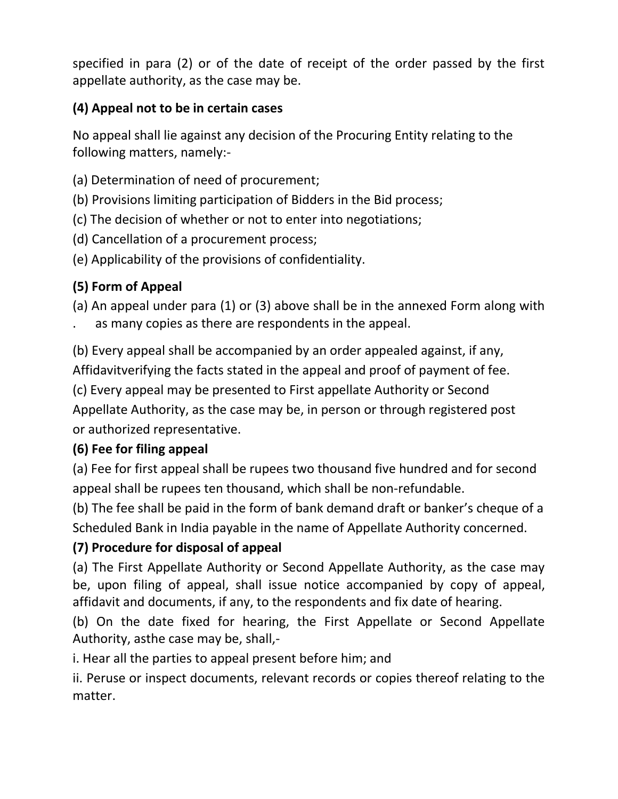specified in para (2) or of the date of receipt of the order passed by the first appellate authority, as the case may be.

# **(4) Appeal not to be in certain cases**

No appeal shall lie against any decision of the Procuring Entity relating to the following matters, namely:-

- (a) Determination of need of procurement;
- (b) Provisions limiting participation of Bidders in the Bid process;
- (c) The decision of whether or not to enter into negotiations;
- (d) Cancellation of a procurement process;
- (e) Applicability of the provisions of confidentiality.

# **(5) Form of Appeal**

(a) An appeal under para (1) or (3) above shall be in the annexed Form along with

. as many copies as there are respondents in the appeal.

(b) Every appeal shall be accompanied by an order appealed against, if any, Affidavitverifying the facts stated in the appeal and proof of payment of fee.

(c) Every appeal may be presented to First appellate Authority or Second

Appellate Authority, as the case may be, in person or through registered post or authorized representative.

# **(6) Fee for filing appeal**

(a) Fee for first appeal shall be rupees two thousand five hundred and for second appeal shall be rupees ten thousand, which shall be non-refundable.

(b) The fee shall be paid in the form of bank demand draft or banker's cheque of a Scheduled Bank in India payable in the name of Appellate Authority concerned.

# **(7) Procedure for disposal of appeal**

(a) The First Appellate Authority or Second Appellate Authority, as the case may be, upon filing of appeal, shall issue notice accompanied by copy of appeal, affidavit and documents, if any, to the respondents and fix date of hearing.

(b) On the date fixed for hearing, the First Appellate or Second Appellate Authority, asthe case may be, shall,-

i. Hear all the parties to appeal present before him; and

ii. Peruse or inspect documents, relevant records or copies thereof relating to the matter.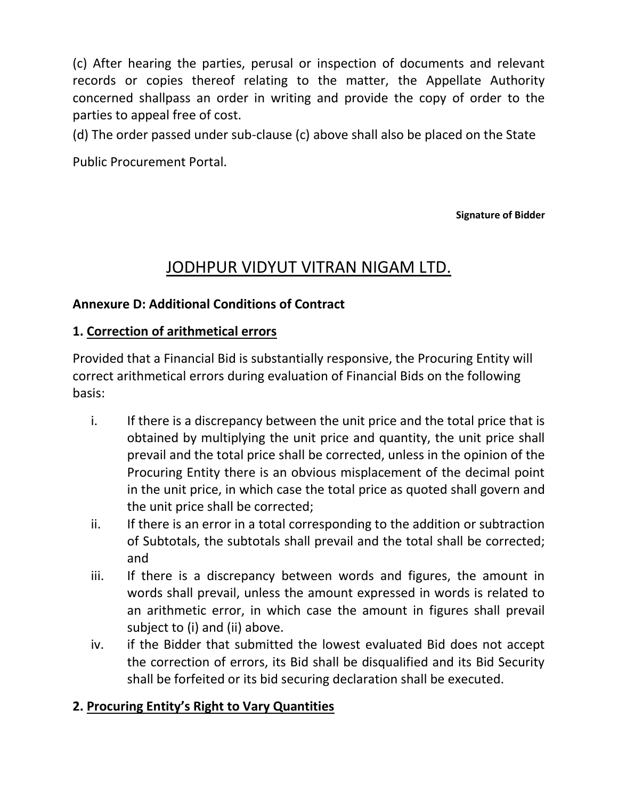(c) After hearing the parties, perusal or inspection of documents and relevant records or copies thereof relating to the matter, the Appellate Authority concerned shallpass an order in writing and provide the copy of order to the parties to appeal free of cost.

(d) The order passed under sub-clause (c) above shall also be placed on the State

Public Procurement Portal.

**Signature of Bidder**

# JODHPUR VIDYUT VITRAN NIGAM LTD.

## **Annexure D: Additional Conditions of Contract**

## **1. Correction of arithmetical errors**

Provided that a Financial Bid is substantially responsive, the Procuring Entity will correct arithmetical errors during evaluation of Financial Bids on the following basis:

- i. If there is a discrepancy between the unit price and the total price that is obtained by multiplying the unit price and quantity, the unit price shall prevail and the total price shall be corrected, unless in the opinion of the Procuring Entity there is an obvious misplacement of the decimal point in the unit price, in which case the total price as quoted shall govern and the unit price shall be corrected;
- ii. If there is an error in a total corresponding to the addition or subtraction of Subtotals, the subtotals shall prevail and the total shall be corrected; and
- iii. If there is a discrepancy between words and figures, the amount in words shall prevail, unless the amount expressed in words is related to an arithmetic error, in which case the amount in figures shall prevail subject to (i) and (ii) above.
- iv. if the Bidder that submitted the lowest evaluated Bid does not accept the correction of errors, its Bid shall be disqualified and its Bid Security shall be forfeited or its bid securing declaration shall be executed.

## **2. Procuring Entity's Right to Vary Quantities**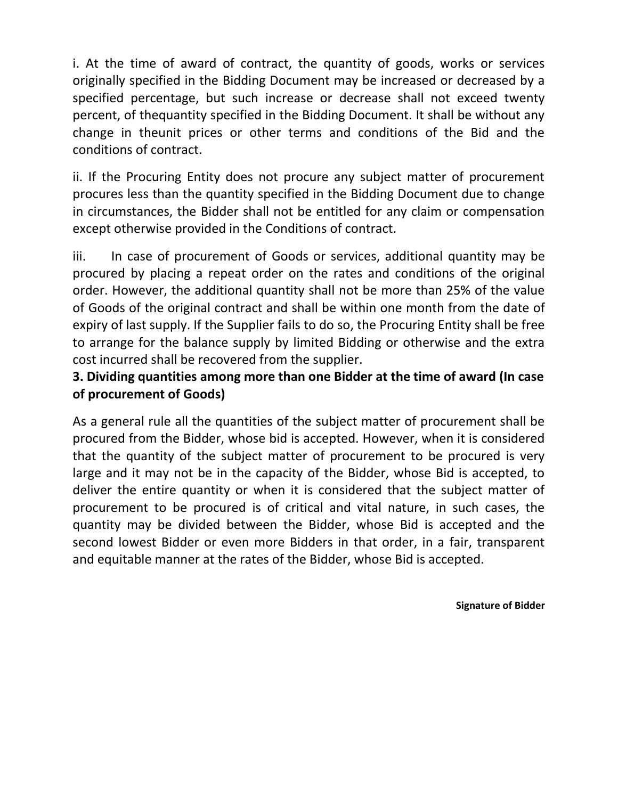i. At the time of award of contract, the quantity of goods, works or services originally specified in the Bidding Document may be increased or decreased by a specified percentage, but such increase or decrease shall not exceed twenty percent, of thequantity specified in the Bidding Document. It shall be without any change in theunit prices or other terms and conditions of the Bid and the conditions of contract.

ii. If the Procuring Entity does not procure any subject matter of procurement procures less than the quantity specified in the Bidding Document due to change in circumstances, the Bidder shall not be entitled for any claim or compensation except otherwise provided in the Conditions of contract.

iii. In case of procurement of Goods or services, additional quantity may be procured by placing a repeat order on the rates and conditions of the original order. However, the additional quantity shall not be more than 25% of the value of Goods of the original contract and shall be within one month from the date of expiry of last supply. If the Supplier fails to do so, the Procuring Entity shall be free to arrange for the balance supply by limited Bidding or otherwise and the extra cost incurred shall be recovered from the supplier.

# **3. Dividing quantities among more than one Bidder at the time of award (In case of procurement of Goods)**

As a general rule all the quantities of the subject matter of procurement shall be procured from the Bidder, whose bid is accepted. However, when it is considered that the quantity of the subject matter of procurement to be procured is very large and it may not be in the capacity of the Bidder, whose Bid is accepted, to deliver the entire quantity or when it is considered that the subject matter of procurement to be procured is of critical and vital nature, in such cases, the quantity may be divided between the Bidder, whose Bid is accepted and the second lowest Bidder or even more Bidders in that order, in a fair, transparent and equitable manner at the rates of the Bidder, whose Bid is accepted.

**Signature of Bidder**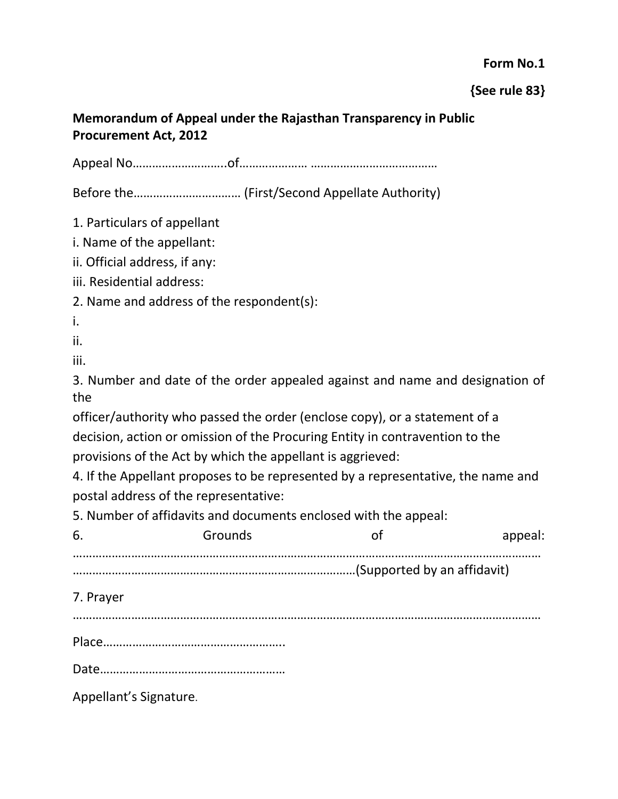**Form No.1** 

**{See rule 83}** 

# **Memorandum of Appeal under the Rajasthan Transparency in Public Procurement Act, 2012**

Appeal No………………………..of………………… …………………………………

Before the…………………………… (First/Second Appellate Authority)

1. Particulars of appellant

i. Name of the appellant:

ii. Official address, if any:

iii. Residential address:

2. Name and address of the respondent(s):

i.

ii.

iii.

3. Number and date of the order appealed against and name and designation of the

officer/authority who passed the order (enclose copy), or a statement of a decision, action or omission of the Procuring Entity in contravention to the provisions of the Act by which the appellant is aggrieved:

4. If the Appellant proposes to be represented by a representative, the name and postal address of the representative:

5. Number of affidavits and documents enclosed with the appeal:

| 6.                     | Grounds | appeal: |
|------------------------|---------|---------|
|                        |         |         |
| 7. Prayer              |         |         |
|                        |         |         |
|                        |         |         |
| Appellant's Signature. |         |         |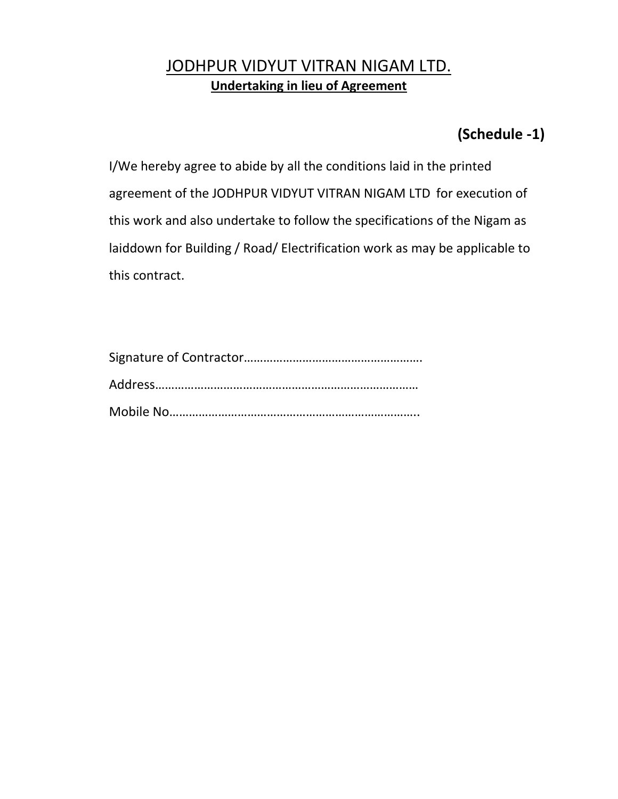# JODHPUR VIDYUT VITRAN NIGAM LTD. **Undertaking in lieu of Agreement**

# **(Schedule -1)**

I/We hereby agree to abide by all the conditions laid in the printed agreement of the JODHPUR VIDYUT VITRAN NIGAM LTD for execution of this work and also undertake to follow the specifications of the Nigam as laiddown for Building / Road/ Electrification work as may be applicable to this contract.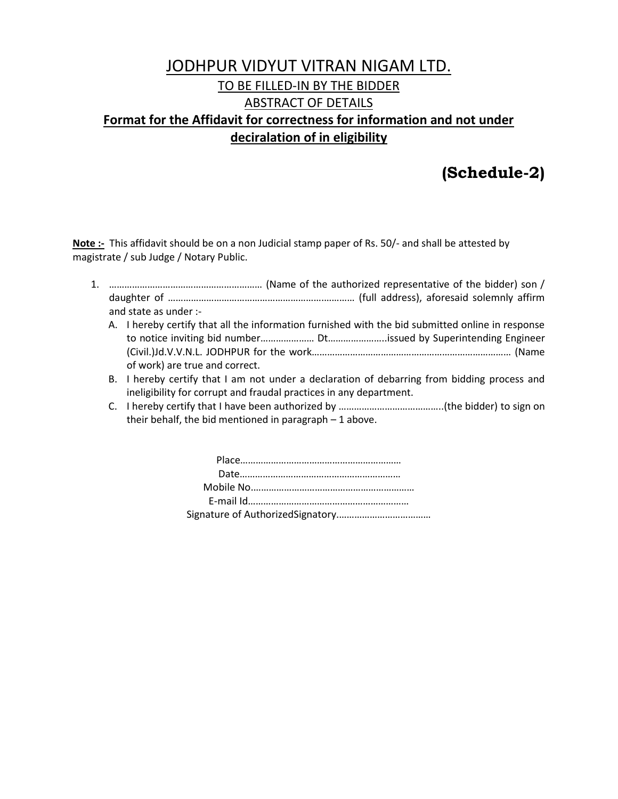# JODHPUR VIDYUT VITRAN NIGAM LTD. TO BE FILLED-IN BY THE BIDDER ABSTRACT OF DETAILS **Format for the Affidavit for correctness for information and not under deciralation of in eligibility**

# **(Schedule-2)**

**Note :-** This affidavit should be on a non Judicial stamp paper of Rs. 50/- and shall be attested by magistrate / sub Judge / Notary Public.

- 1. …………………………………………………… (Name of the authorized representative of the bidder) son / daughter of …………………………………………………….………… (full address), aforesaid solemnly affirm and state as under :- A. I hereby certify that all the information furnished with the bid submitted online in response to notice inviting bid number………………… Dt…………………..issued by Superintending Engineer (Civil.)Jd.V.V.N.L. JODHPUR for the work…………………………………………………………………… (Name of work) are true and correct. B. I hereby certify that I am not under a declaration of debarring from bidding process and ineligibility for corrupt and fraudal practices in any department.
	- C. I hereby certify that I have been authorized by …………………………………..(the bidder) to sign on their behalf, the bid mentioned in paragraph  $-1$  above.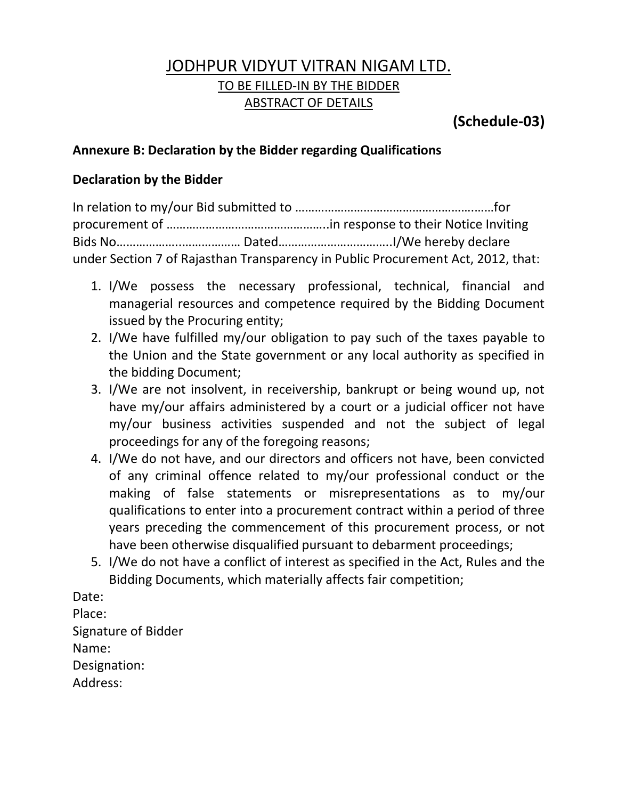# JODHPUR VIDYUT VITRAN NIGAM LTD. TO BE FILLED-IN BY THE BIDDER ABSTRACT OF DETAILS

# **(Schedule-03)**

### **Annexure B: Declaration by the Bidder regarding Qualifications**

### **Declaration by the Bidder**

| under Section 7 of Rajasthan Transparency in Public Procurement Act, 2012, that: |
|----------------------------------------------------------------------------------|

- 1. I/We possess the necessary professional, technical, financial and managerial resources and competence required by the Bidding Document issued by the Procuring entity;
- 2. I/We have fulfilled my/our obligation to pay such of the taxes payable to the Union and the State government or any local authority as specified in the bidding Document;
- 3. I/We are not insolvent, in receivership, bankrupt or being wound up, not have my/our affairs administered by a court or a judicial officer not have my/our business activities suspended and not the subject of legal proceedings for any of the foregoing reasons;
- 4. I/We do not have, and our directors and officers not have, been convicted of any criminal offence related to my/our professional conduct or the making of false statements or misrepresentations as to my/our qualifications to enter into a procurement contract within a period of three years preceding the commencement of this procurement process, or not have been otherwise disqualified pursuant to debarment proceedings;
- 5. I/We do not have a conflict of interest as specified in the Act, Rules and the Bidding Documents, which materially affects fair competition;

Date:

Place:

Signature of Bidder

Name:

Designation:

Address: